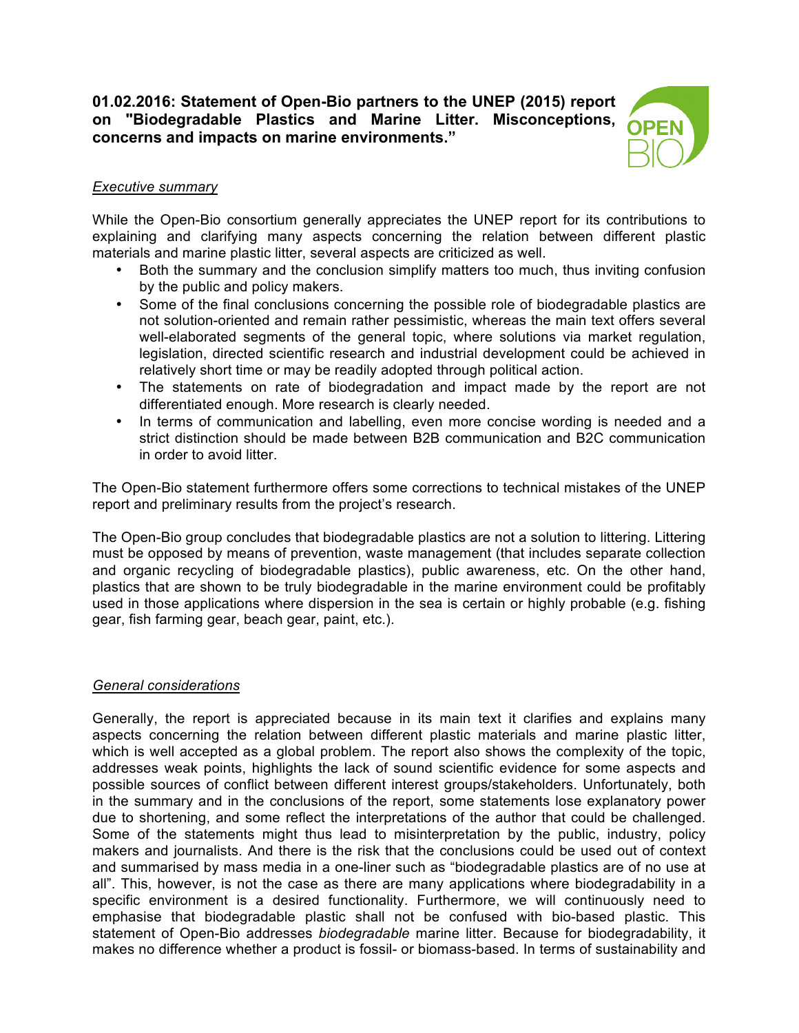# **01.02.2016: Statement of Open-Bio partners to the UNEP (2015) report on "Biodegradable Plastics and Marine Litter. Misconceptions, concerns and impacts on marine environments."**



# *Executive summary*

While the Open-Bio consortium generally appreciates the UNEP report for its contributions to explaining and clarifying many aspects concerning the relation between different plastic materials and marine plastic litter, several aspects are criticized as well.

- Both the summary and the conclusion simplify matters too much, thus inviting confusion by the public and policy makers.
- Some of the final conclusions concerning the possible role of biodegradable plastics are not solution-oriented and remain rather pessimistic, whereas the main text offers several well-elaborated segments of the general topic, where solutions via market regulation, legislation, directed scientific research and industrial development could be achieved in relatively short time or may be readily adopted through political action.
- The statements on rate of biodegradation and impact made by the report are not differentiated enough. More research is clearly needed.
- In terms of communication and labelling, even more concise wording is needed and a strict distinction should be made between B2B communication and B2C communication in order to avoid litter.

The Open-Bio statement furthermore offers some corrections to technical mistakes of the UNEP report and preliminary results from the project's research.

The Open-Bio group concludes that biodegradable plastics are not a solution to littering. Littering must be opposed by means of prevention, waste management (that includes separate collection and organic recycling of biodegradable plastics), public awareness, etc. On the other hand, plastics that are shown to be truly biodegradable in the marine environment could be profitably used in those applications where dispersion in the sea is certain or highly probable (e.g. fishing gear, fish farming gear, beach gear, paint, etc.).

### *General considerations*

Generally, the report is appreciated because in its main text it clarifies and explains many aspects concerning the relation between different plastic materials and marine plastic litter, which is well accepted as a global problem. The report also shows the complexity of the topic, addresses weak points, highlights the lack of sound scientific evidence for some aspects and possible sources of conflict between different interest groups/stakeholders. Unfortunately, both in the summary and in the conclusions of the report, some statements lose explanatory power due to shortening, and some reflect the interpretations of the author that could be challenged. Some of the statements might thus lead to misinterpretation by the public, industry, policy makers and journalists. And there is the risk that the conclusions could be used out of context and summarised by mass media in a one-liner such as "biodegradable plastics are of no use at all". This, however, is not the case as there are many applications where biodegradability in a specific environment is a desired functionality. Furthermore, we will continuously need to emphasise that biodegradable plastic shall not be confused with bio-based plastic. This statement of Open-Bio addresses *biodegradable* marine litter. Because for biodegradability, it makes no difference whether a product is fossil- or biomass-based. In terms of sustainability and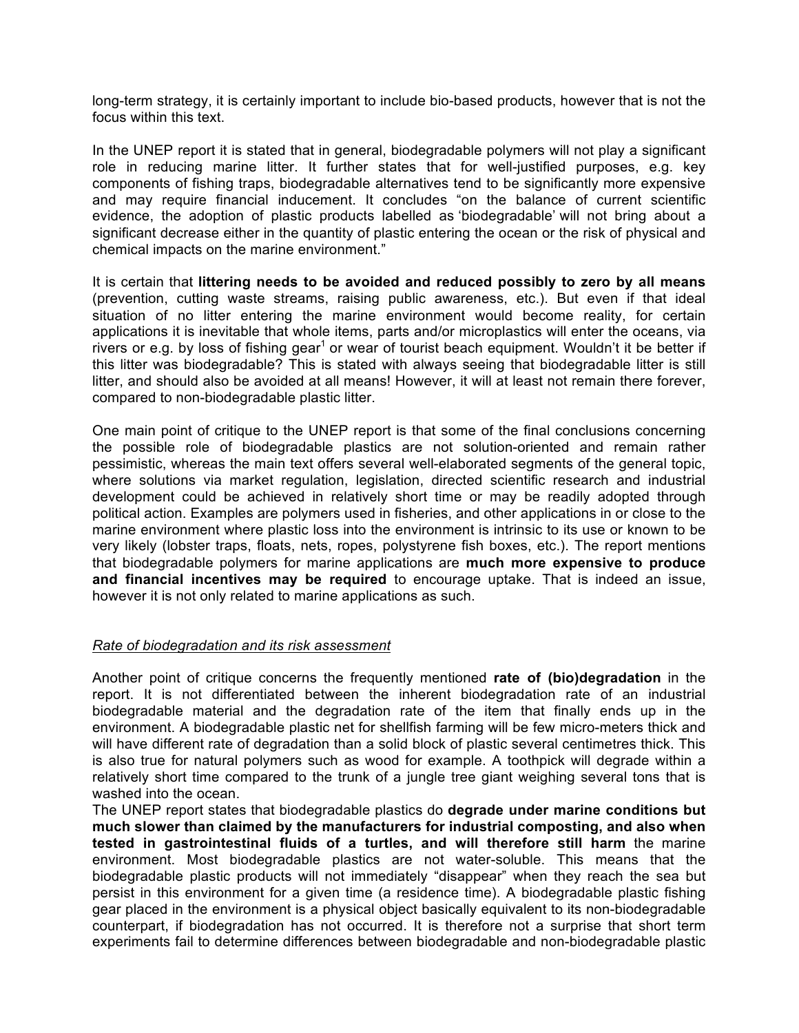long-term strategy, it is certainly important to include bio-based products, however that is not the focus within this text.

In the UNEP report it is stated that in general, biodegradable polymers will not play a significant role in reducing marine litter. It further states that for well-justified purposes, e.g. key components of fishing traps, biodegradable alternatives tend to be significantly more expensive and may require financial inducement. It concludes "on the balance of current scientific evidence, the adoption of plastic products labelled as 'biodegradable' will not bring about a significant decrease either in the quantity of plastic entering the ocean or the risk of physical and chemical impacts on the marine environment."

It is certain that **littering needs to be avoided and reduced possibly to zero by all means** (prevention, cutting waste streams, raising public awareness, etc.). But even if that ideal situation of no litter entering the marine environment would become reality, for certain applications it is inevitable that whole items, parts and/or microplastics will enter the oceans, via rivers or e.g. by loss of fishing gear<sup>1</sup> or wear of tourist beach equipment. Wouldn't it be better if this litter was biodegradable? This is stated with always seeing that biodegradable litter is still litter, and should also be avoided at all means! However, it will at least not remain there forever, compared to non-biodegradable plastic litter.

One main point of critique to the UNEP report is that some of the final conclusions concerning the possible role of biodegradable plastics are not solution-oriented and remain rather pessimistic, whereas the main text offers several well-elaborated segments of the general topic, where solutions via market regulation, legislation, directed scientific research and industrial development could be achieved in relatively short time or may be readily adopted through political action. Examples are polymers used in fisheries, and other applications in or close to the marine environment where plastic loss into the environment is intrinsic to its use or known to be very likely (lobster traps, floats, nets, ropes, polystyrene fish boxes, etc.). The report mentions that biodegradable polymers for marine applications are **much more expensive to produce and financial incentives may be required** to encourage uptake. That is indeed an issue, however it is not only related to marine applications as such.

### *Rate of biodegradation and its risk assessment*

Another point of critique concerns the frequently mentioned **rate of (bio)degradation** in the report. It is not differentiated between the inherent biodegradation rate of an industrial biodegradable material and the degradation rate of the item that finally ends up in the environment. A biodegradable plastic net for shellfish farming will be few micro-meters thick and will have different rate of degradation than a solid block of plastic several centimetres thick. This is also true for natural polymers such as wood for example. A toothpick will degrade within a relatively short time compared to the trunk of a jungle tree giant weighing several tons that is washed into the ocean.

The UNEP report states that biodegradable plastics do **degrade under marine conditions but much slower than claimed by the manufacturers for industrial composting, and also when tested in gastrointestinal fluids of a turtles, and will therefore still harm** the marine environment. Most biodegradable plastics are not water-soluble. This means that the biodegradable plastic products will not immediately "disappear" when they reach the sea but persist in this environment for a given time (a residence time). A biodegradable plastic fishing gear placed in the environment is a physical object basically equivalent to its non-biodegradable counterpart, if biodegradation has not occurred. It is therefore not a surprise that short term experiments fail to determine differences between biodegradable and non-biodegradable plastic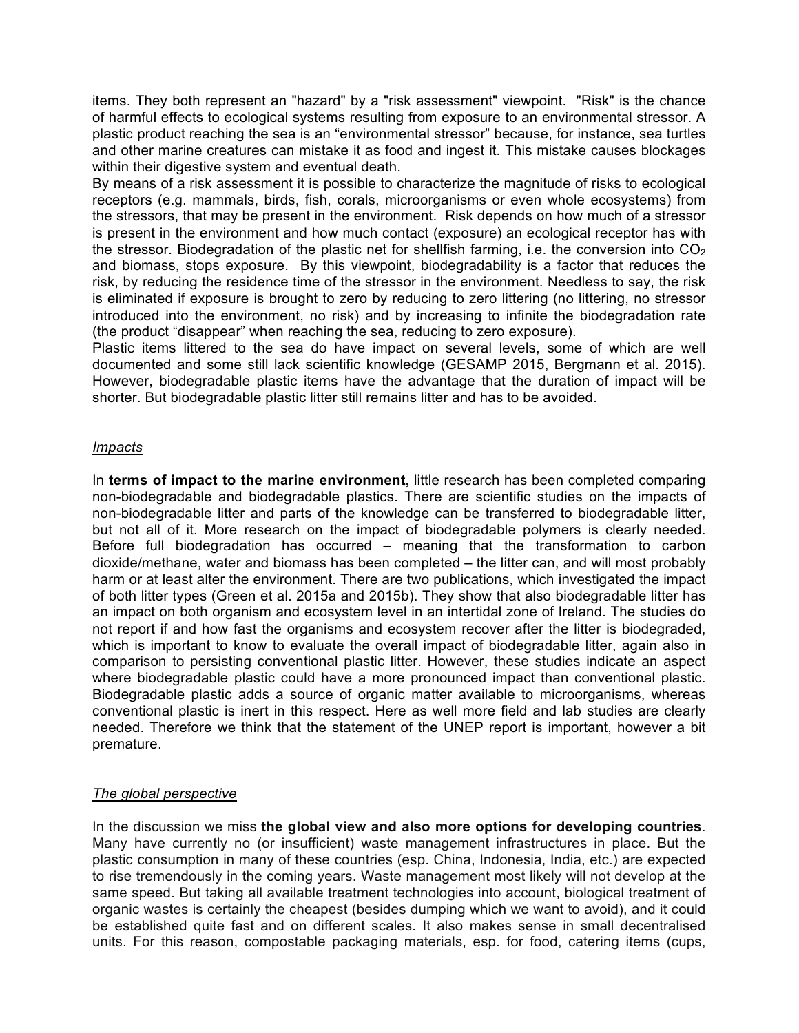items. They both represent an "hazard" by a "risk assessment" viewpoint. "Risk" is the chance of harmful effects to ecological systems resulting from exposure to an environmental stressor. A plastic product reaching the sea is an "environmental stressor" because, for instance, sea turtles and other marine creatures can mistake it as food and ingest it. This mistake causes blockages within their digestive system and eventual death.

By means of a risk assessment it is possible to characterize the magnitude of risks to ecological receptors (e.g. mammals, birds, fish, corals, microorganisms or even whole ecosystems) from the stressors, that may be present in the environment. Risk depends on how much of a stressor is present in the environment and how much contact (exposure) an ecological receptor has with the stressor. Biodegradation of the plastic net for shellfish farming, i.e. the conversion into  $CO<sub>2</sub>$ and biomass, stops exposure. By this viewpoint, biodegradability is a factor that reduces the risk, by reducing the residence time of the stressor in the environment. Needless to say, the risk is eliminated if exposure is brought to zero by reducing to zero littering (no littering, no stressor introduced into the environment, no risk) and by increasing to infinite the biodegradation rate (the product "disappear" when reaching the sea, reducing to zero exposure).

Plastic items littered to the sea do have impact on several levels, some of which are well documented and some still lack scientific knowledge (GESAMP 2015, Bergmann et al. 2015). However, biodegradable plastic items have the advantage that the duration of impact will be shorter. But biodegradable plastic litter still remains litter and has to be avoided.

### *Impacts*

In **terms of impact to the marine environment,** little research has been completed comparing non-biodegradable and biodegradable plastics. There are scientific studies on the impacts of non-biodegradable litter and parts of the knowledge can be transferred to biodegradable litter, but not all of it. More research on the impact of biodegradable polymers is clearly needed. Before full biodegradation has occurred – meaning that the transformation to carbon dioxide/methane, water and biomass has been completed – the litter can, and will most probably harm or at least alter the environment. There are two publications, which investigated the impact of both litter types (Green et al. 2015a and 2015b). They show that also biodegradable litter has an impact on both organism and ecosystem level in an intertidal zone of Ireland. The studies do not report if and how fast the organisms and ecosystem recover after the litter is biodegraded, which is important to know to evaluate the overall impact of biodegradable litter, again also in comparison to persisting conventional plastic litter. However, these studies indicate an aspect where biodegradable plastic could have a more pronounced impact than conventional plastic. Biodegradable plastic adds a source of organic matter available to microorganisms, whereas conventional plastic is inert in this respect. Here as well more field and lab studies are clearly needed. Therefore we think that the statement of the UNEP report is important, however a bit premature.

# *The global perspective*

In the discussion we miss **the global view and also more options for developing countries**. Many have currently no (or insufficient) waste management infrastructures in place. But the plastic consumption in many of these countries (esp. China, Indonesia, India, etc.) are expected to rise tremendously in the coming years. Waste management most likely will not develop at the same speed. But taking all available treatment technologies into account, biological treatment of organic wastes is certainly the cheapest (besides dumping which we want to avoid), and it could be established quite fast and on different scales. It also makes sense in small decentralised units. For this reason, compostable packaging materials, esp. for food, catering items (cups,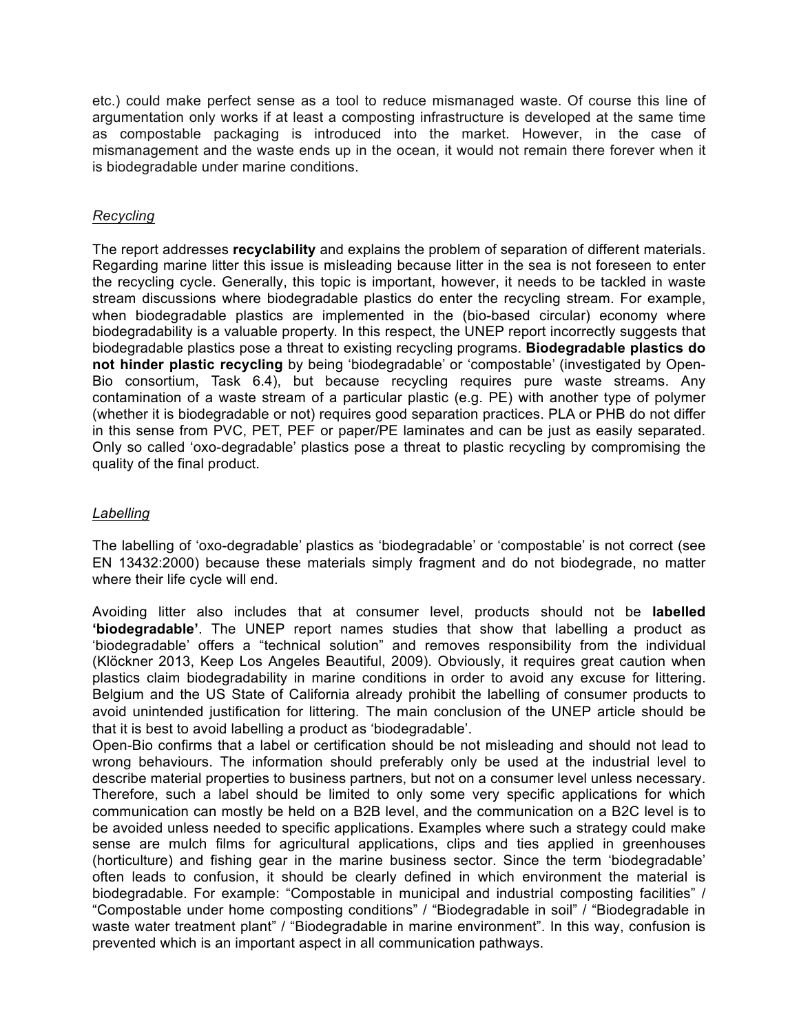etc.) could make perfect sense as a tool to reduce mismanaged waste. Of course this line of argumentation only works if at least a composting infrastructure is developed at the same time as compostable packaging is introduced into the market. However, in the case of mismanagement and the waste ends up in the ocean, it would not remain there forever when it is biodegradable under marine conditions.

## *Recycling*

The report addresses **recyclability** and explains the problem of separation of different materials. Regarding marine litter this issue is misleading because litter in the sea is not foreseen to enter the recycling cycle. Generally, this topic is important, however, it needs to be tackled in waste stream discussions where biodegradable plastics do enter the recycling stream. For example, when biodegradable plastics are implemented in the (bio-based circular) economy where biodegradability is a valuable property. In this respect, the UNEP report incorrectly suggests that biodegradable plastics pose a threat to existing recycling programs. **Biodegradable plastics do not hinder plastic recycling** by being 'biodegradable' or 'compostable' (investigated by Open-Bio consortium, Task 6.4), but because recycling requires pure waste streams. Any contamination of a waste stream of a particular plastic (e.g. PE) with another type of polymer (whether it is biodegradable or not) requires good separation practices. PLA or PHB do not differ in this sense from PVC, PET, PEF or paper/PE laminates and can be just as easily separated. Only so called 'oxo-degradable' plastics pose a threat to plastic recycling by compromising the quality of the final product.

## *Labelling*

The labelling of 'oxo-degradable' plastics as 'biodegradable' or 'compostable' is not correct (see EN 13432:2000) because these materials simply fragment and do not biodegrade, no matter where their life cycle will end.

Avoiding litter also includes that at consumer level, products should not be **labelled 'biodegradable'**. The UNEP report names studies that show that labelling a product as 'biodegradable' offers a "technical solution" and removes responsibility from the individual (Klöckner 2013, Keep Los Angeles Beautiful, 2009). Obviously, it requires great caution when plastics claim biodegradability in marine conditions in order to avoid any excuse for littering. Belgium and the US State of California already prohibit the labelling of consumer products to avoid unintended justification for littering. The main conclusion of the UNEP article should be that it is best to avoid labelling a product as 'biodegradable'.

Open-Bio confirms that a label or certification should be not misleading and should not lead to wrong behaviours. The information should preferably only be used at the industrial level to describe material properties to business partners, but not on a consumer level unless necessary. Therefore, such a label should be limited to only some very specific applications for which communication can mostly be held on a B2B level, and the communication on a B2C level is to be avoided unless needed to specific applications. Examples where such a strategy could make sense are mulch films for agricultural applications, clips and ties applied in greenhouses (horticulture) and fishing gear in the marine business sector. Since the term 'biodegradable' often leads to confusion, it should be clearly defined in which environment the material is biodegradable. For example: "Compostable in municipal and industrial composting facilities" / "Compostable under home composting conditions" / "Biodegradable in soil" / "Biodegradable in waste water treatment plant" / "Biodegradable in marine environment". In this way, confusion is prevented which is an important aspect in all communication pathways.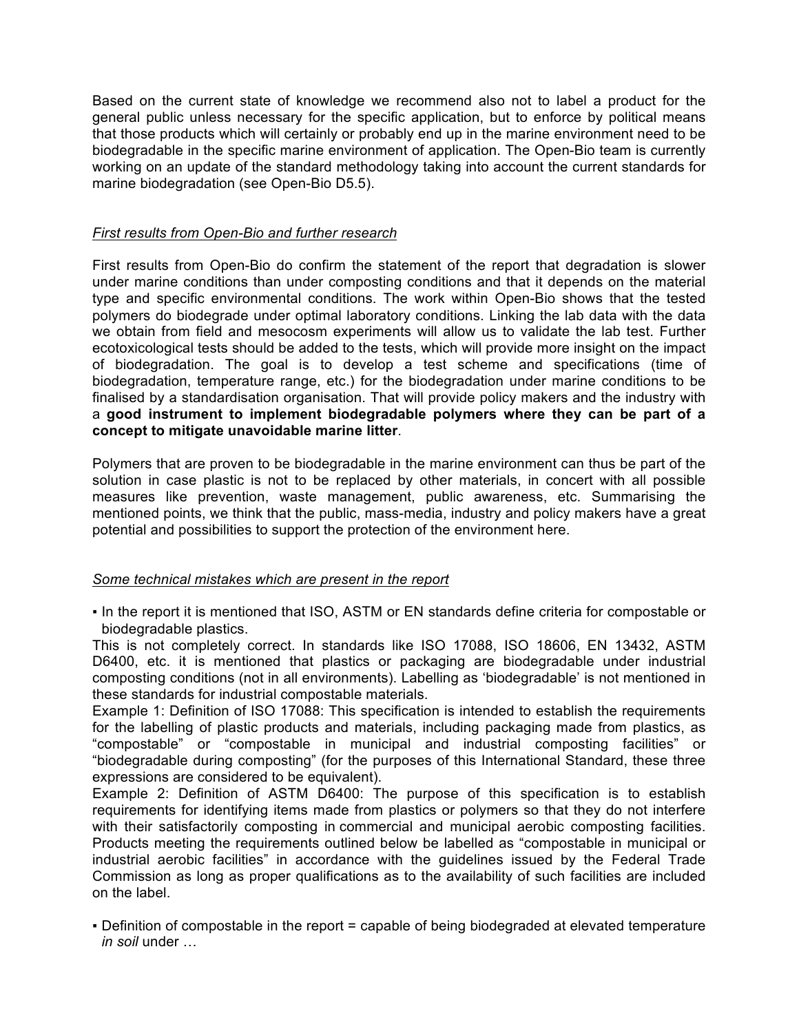Based on the current state of knowledge we recommend also not to label a product for the general public unless necessary for the specific application, but to enforce by political means that those products which will certainly or probably end up in the marine environment need to be biodegradable in the specific marine environment of application. The Open-Bio team is currently working on an update of the standard methodology taking into account the current standards for marine biodegradation (see Open-Bio D5.5).

# *First results from Open-Bio and further research*

First results from Open-Bio do confirm the statement of the report that degradation is slower under marine conditions than under composting conditions and that it depends on the material type and specific environmental conditions. The work within Open-Bio shows that the tested polymers do biodegrade under optimal laboratory conditions. Linking the lab data with the data we obtain from field and mesocosm experiments will allow us to validate the lab test. Further ecotoxicological tests should be added to the tests, which will provide more insight on the impact of biodegradation. The goal is to develop a test scheme and specifications (time of biodegradation, temperature range, etc.) for the biodegradation under marine conditions to be finalised by a standardisation organisation. That will provide policy makers and the industry with a **good instrument to implement biodegradable polymers where they can be part of a concept to mitigate unavoidable marine litter**.

Polymers that are proven to be biodegradable in the marine environment can thus be part of the solution in case plastic is not to be replaced by other materials, in concert with all possible measures like prevention, waste management, public awareness, etc. Summarising the mentioned points, we think that the public, mass-media, industry and policy makers have a great potential and possibilities to support the protection of the environment here.

# *Some technical mistakes which are present in the report*

. In the report it is mentioned that ISO, ASTM or EN standards define criteria for compostable or biodegradable plastics.

This is not completely correct. In standards like ISO 17088, ISO 18606, EN 13432, ASTM D6400, etc. it is mentioned that plastics or packaging are biodegradable under industrial composting conditions (not in all environments). Labelling as 'biodegradable' is not mentioned in these standards for industrial compostable materials.

Example 1: Definition of ISO 17088: This specification is intended to establish the requirements for the labelling of plastic products and materials, including packaging made from plastics, as "compostable" or "compostable in municipal and industrial composting facilities" or "biodegradable during composting" (for the purposes of this International Standard, these three expressions are considered to be equivalent).

Example 2: Definition of ASTM D6400: The purpose of this specification is to establish requirements for identifying items made from plastics or polymers so that they do not interfere with their satisfactorily composting in commercial and municipal aerobic composting facilities. Products meeting the requirements outlined below be labelled as "compostable in municipal or industrial aerobic facilities" in accordance with the guidelines issued by the Federal Trade Commission as long as proper qualifications as to the availability of such facilities are included on the label.

▪ Definition of compostable in the report = capable of being biodegraded at elevated temperature *in soil* under …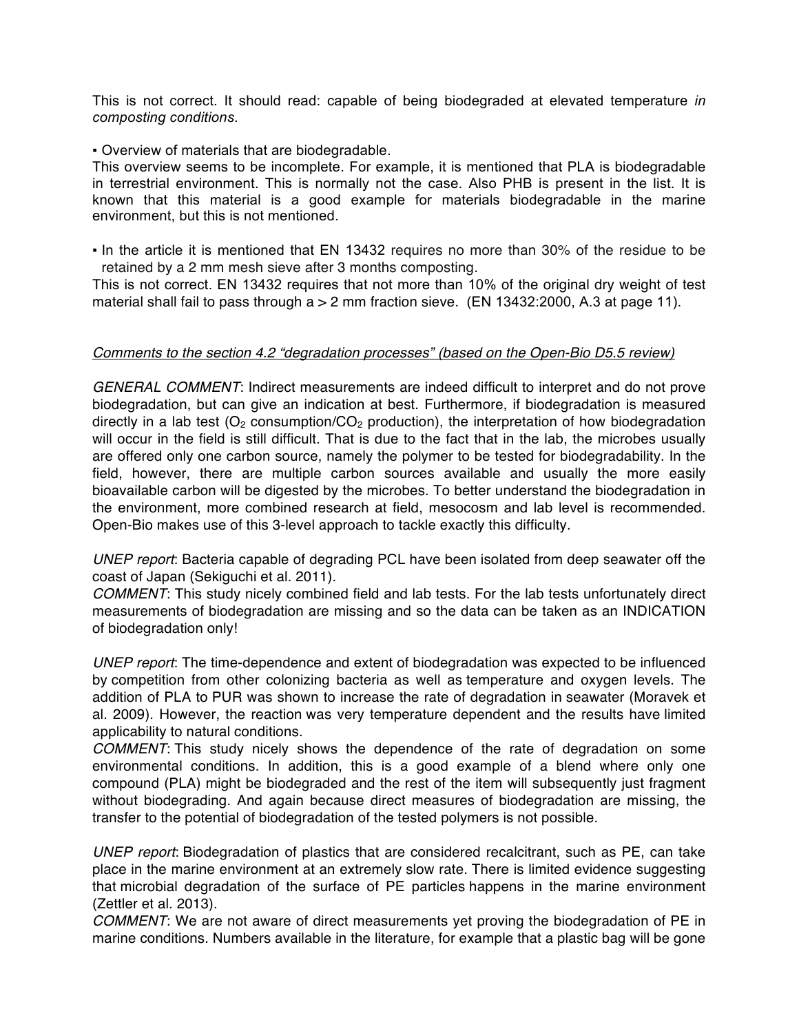This is not correct. It should read: capable of being biodegraded at elevated temperature *in composting conditions*.

### ▪ Overview of materials that are biodegradable.

This overview seems to be incomplete. For example, it is mentioned that PLA is biodegradable in terrestrial environment. This is normally not the case. Also PHB is present in the list. It is known that this material is a good example for materials biodegradable in the marine environment, but this is not mentioned.

▪ In the article it is mentioned that EN 13432 requires no more than 30% of the residue to be retained by a 2 mm mesh sieve after 3 months composting.

This is not correct. EN 13432 requires that not more than 10% of the original dry weight of test material shall fail to pass through a > 2 mm fraction sieve. (EN 13432:2000, A.3 at page 11).

### *Comments to the section 4.2 "degradation processes" (based on the Open-Bio D5.5 review)*

*GENERAL COMMENT*: Indirect measurements are indeed difficult to interpret and do not prove biodegradation, but can give an indication at best. Furthermore, if biodegradation is measured directly in a lab test  $(O_2 \text{ consumption/CO}_2 \text{ production})$ , the interpretation of how biodegradation will occur in the field is still difficult. That is due to the fact that in the lab, the microbes usually are offered only one carbon source, namely the polymer to be tested for biodegradability. In the field, however, there are multiple carbon sources available and usually the more easily bioavailable carbon will be digested by the microbes. To better understand the biodegradation in the environment, more combined research at field, mesocosm and lab level is recommended. Open-Bio makes use of this 3-level approach to tackle exactly this difficulty.

*UNEP report*: Bacteria capable of degrading PCL have been isolated from deep seawater off the coast of Japan (Sekiguchi et al. 2011).

*COMMENT*: This study nicely combined field and lab tests. For the lab tests unfortunately direct measurements of biodegradation are missing and so the data can be taken as an INDICATION of biodegradation only!

*UNEP report*: The time-dependence and extent of biodegradation was expected to be influenced by competition from other colonizing bacteria as well as temperature and oxygen levels. The addition of PLA to PUR was shown to increase the rate of degradation in seawater (Moravek et al. 2009). However, the reaction was very temperature dependent and the results have limited applicability to natural conditions.

*COMMENT*: This study nicely shows the dependence of the rate of degradation on some environmental conditions. In addition, this is a good example of a blend where only one compound (PLA) might be biodegraded and the rest of the item will subsequently just fragment without biodegrading. And again because direct measures of biodegradation are missing, the transfer to the potential of biodegradation of the tested polymers is not possible.

*UNEP report*: Biodegradation of plastics that are considered recalcitrant, such as PE, can take place in the marine environment at an extremely slow rate. There is limited evidence suggesting that microbial degradation of the surface of PE particles happens in the marine environment (Zettler et al. 2013).

*COMMENT*: We are not aware of direct measurements yet proving the biodegradation of PE in marine conditions. Numbers available in the literature, for example that a plastic bag will be gone